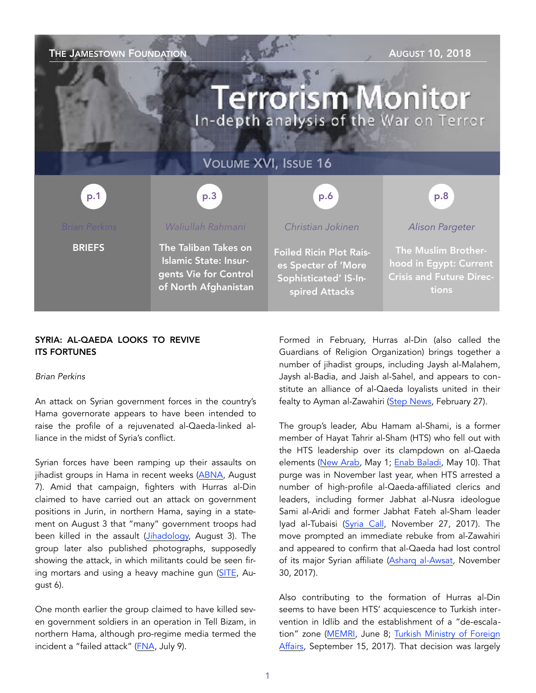| <b>AUGUST 10, 2018</b><br>THE JAMESTOWN FOUNDATION<br><b>Terrorism Monitor</b> |                                                                                                       |                                                                                                  |                                                                                           |
|--------------------------------------------------------------------------------|-------------------------------------------------------------------------------------------------------|--------------------------------------------------------------------------------------------------|-------------------------------------------------------------------------------------------|
| <b>VOLUME XVI, ISSUE 16</b>                                                    |                                                                                                       |                                                                                                  |                                                                                           |
| p.1                                                                            | p.3                                                                                                   | p.6                                                                                              | p.8                                                                                       |
| <b>Brian Perkins</b>                                                           | Waliullah Rahmani                                                                                     | Christian Jokinen                                                                                | <b>Alison Pargeter</b>                                                                    |
| <b>BRIEFS</b>                                                                  | The Taliban Takes on<br><b>Islamic State: Insur-</b><br>gents Vie for Control<br>of North Afghanistan | <b>Foiled Ricin Plot Rais-</b><br>es Specter of 'More<br>Sophisticated' IS-In-<br>spired Attacks | The Muslim Brother-<br>hood in Egypt: Current<br><b>Crisis and Future Direc-</b><br>tions |

## SYRIA: AL-QAEDA LOOKS TO REVIVE ITS FORTUNES

#### *Brian Perkins*

An attack on Syrian government forces in the country's Hama governorate appears to have been intended to raise the profile of a rejuvenated al-Qaeda-linked alliance in the midst of Syria's conflict.

Syrian forces have been ramping up their assaults on jihadist groups in Hama in recent weeks ([ABNA,](http://en.abna24.com/news/middle-east/syrian-army-hunts-down-terrorists-in-hama_904593.html) August 7). Amid that campaign, fighters with Hurras al-Din claimed to have carried out an attack on government positions in Jurin, in northern Hama, saying in a statement on August 3 that "many" government troops had been killed in the assault ([Jihadology,](https://jihadology.net/2018/08/03/new-statement-from-%E1%B8%A5uras-al-din-raid-on-some-points-adjacent-to-the-nu%E1%B9%A3ayri-village-of-jurin/) August 3). The group later also published photographs, supposedly showing the attack, in which militants could be seen firing mortars and using a heavy machine gun [\(SITE](https://ent.siteintelgroup.com/Statements/pro-aq-hurras-al-deen-claims-offensive-on-syrian-military-positions-in-hama-publishes-photos-of-attack.html), August 6).

One month earlier the group claimed to have killed seven government soldiers in an operation in Tell Bizam, in northern Hama, although pro-regime media termed the incident a "failed attack" [\(FNA](http://en.farsnews.com/newstext.aspx?nn=13970418000289), July 9).

Formed in February, Hurras al-Din (also called the Guardians of Religion Organization) brings together a number of jihadist groups, including Jaysh al-Malahem, Jaysh al-Badia, and Jaish al-Sahel, and appears to constitute an alliance of al-Qaeda loyalists united in their fealty to Ayman al-Zawahiri ([Step News,](http://stepagency-sy.net/archives/184836) February 27).

The group's leader, Abu Hamam al-Shami, is a former member of Hayat Tahrir al-Sham (HTS) who fell out with the HTS leadership over its clampdown on al-Qaeda elements ([New Arab,](https://www.alaraby.co.uk/english/comment/2018/5/1/where-will-idlibs-civilians-go-when-assad-strikes) May 1; [Enab Baladi](https://english.enabbaladi.net/archives/2018/05/in-the-bottleneck-changes-that-are-reshaping-the-face-of-idlib/), May 10). That purge was in November last year, when HTS arrested a number of high-profile al-Qaeda-affiliated clerics and leaders, including former Jabhat al-Nusra ideologue Sami al-Aridi and former Jabhat Fateh al-Sham leader Iyad al-Tubaisi [\(Syria Call,](http://nedaa-sy.com/en/news/2870) November 27, 2017). The move prompted an immediate rebuke from al-Zawahiri and appeared to confirm that al-Qaeda had lost control of its major Syrian affiliate ([Asharq al-Awsat,](https://aawsat.com/english/home/article/1099286/tahrir-al-sham-arrests-qaeda-leaders-cranks-zawahiri-julani-dispute) November 30, 2017).

Also contributing to the formation of Hurras al-Din seems to have been HTS' acquiescence to Turkish intervention in Idlib and the establishment of a "de-escalation" zone ([MEMRI,](https://www.memri.org/reports/following-hts-decision-grant-turkey-military-presence-idlib-al-qaeda-supporters-accuse-it) June 8; [Turkish Ministry of Foreign](http://www.mfa.gov.tr/no_-288_-14-15-eylul-2017-tarihlerinde-gerceklestirilen-altinci-astana-toplantisinda-idlib-catismasizlik-bolgesinin-ilani-hk_en.en.mfa)  [Affairs,](http://www.mfa.gov.tr/no_-288_-14-15-eylul-2017-tarihlerinde-gerceklestirilen-altinci-astana-toplantisinda-idlib-catismasizlik-bolgesinin-ilani-hk_en.en.mfa) September 15, 2017). That decision was largely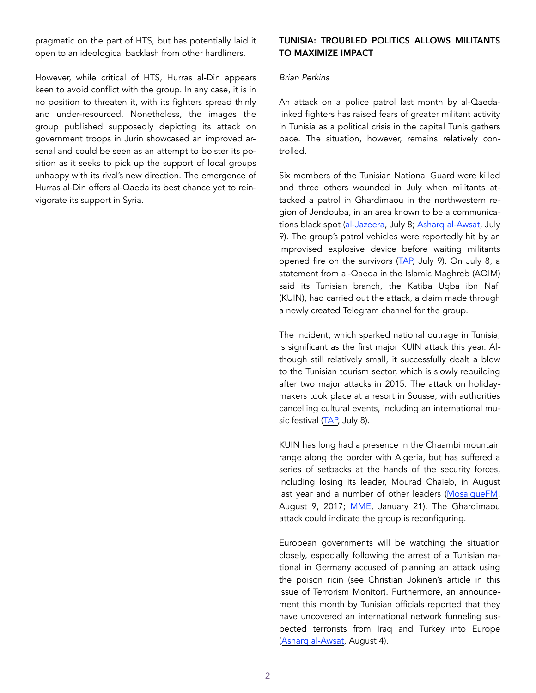pragmatic on the part of HTS, but has potentially laid it open to an ideological backlash from other hardliners.

However, while critical of HTS, Hurras al-Din appears keen to avoid conflict with the group. In any case, it is in no position to threaten it, with its fighters spread thinly and under-resourced. Nonetheless, the images the group published supposedly depicting its attack on government troops in Jurin showcased an improved arsenal and could be seen as an attempt to bolster its position as it seeks to pick up the support of local groups unhappy with its rival's new direction. The emergence of Hurras al-Din offers al-Qaeda its best chance yet to reinvigorate its support in Syria.

## TUNISIA: TROUBLED POLITICS ALLOWS MILITANTS TO MAXIMIZE IMPACT

#### *Brian Perkins*

An attack on a police patrol last month by al-Qaedalinked fighters has raised fears of greater militant activity in Tunisia as a political crisis in the capital Tunis gathers pace. The situation, however, remains relatively controlled.

Six members of the Tunisian National Guard were killed and three others wounded in July when militants attacked a patrol in Ghardimaou in the northwestern region of Jendouba, in an area known to be a communications black spot ([al-Jazeera,](https://www.aljazeera.com/news/2018/07/tunisia-police-killed-attack-algeria-border-180708120852286.html) July 8; [Asharq al-Awsat,](https://aawsat.com/english/home/article/1325686/terrorist-attack-kills-9-members-tunisian-national-guard) July 9). The group's patrol vehicles were reportedly hit by an improvised explosive device before waiting militants opened fire on the survivors [\(TAP,](https://www.tap.info.tn/en/Portal-Politics/10363944-ghardimaou-attack) July 9). On July 8, a statement from al-Qaeda in the Islamic Maghreb (AQIM) said its Tunisian branch, the Katiba Uqba ibn Nafi (KUIN), had carried out the attack, a claim made through a newly created Telegram channel for the group.

The incident, which sparked national outrage in Tunisia, is significant as the first major KUIN attack this year. Although still relatively small, it successfully dealt a blow to the Tunisian tourism sector, which is slowly rebuilding after two major attacks in 2015. The attack on holidaymakers took place at a resort in Sousse, with authorities cancelling cultural events, including an international music festival ([TAP,](https://www.tap.info.tn/en/Portal-Culture-and-Media/10363307-ghardimaou-terror) July 8).

KUIN has long had a presence in the Chaambi mountain range along the border with Algeria, but has suffered a series of setbacks at the hands of the security forces, including losing its leader, Mourad Chaieb, in August last year and a number of other leaders ([MosaiqueFM,](https://www.mosaiquefm.net/fr/actualite-national-tunisie/184488/qui-est-mourad-chaieb-le-terroriste-abattu-a-kasserine) August 9, 2017; [MME](http://www.middleeasteye.net/news/tunisian-special-forces-slay-senior-al-qaeda-member-285873027), January 21). The Ghardimaou attack could indicate the group is reconfiguring.

European governments will be watching the situation closely, especially following the arrest of a Tunisian national in Germany accused of planning an attack using the poison ricin (see Christian Jokinen's article in this issue of Terrorism Monitor). Furthermore, an announcement this month by Tunisian officials reported that they have uncovered an international network funneling suspected terrorists from Iraq and Turkey into Europe ([Asharq al-Awsat](https://aawsat.com/english/home/article/1352851/tunisia-uncovers-international-network-smuggles-terrorists-europe), August 4).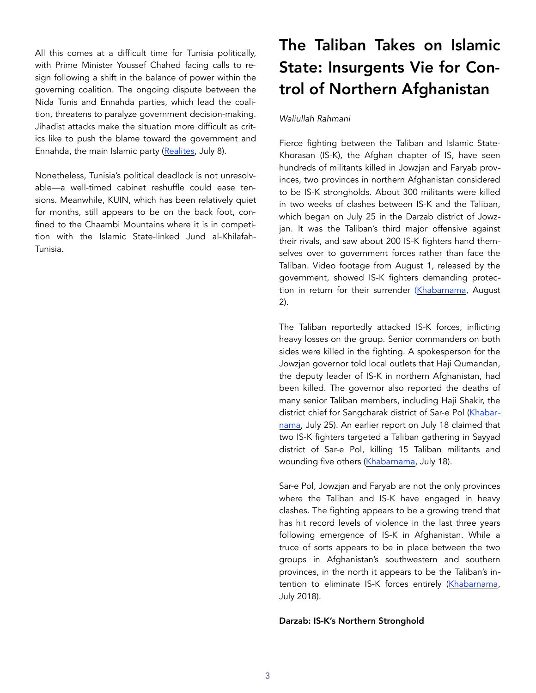All this comes at a difficult time for Tunisia politically, with Prime Minister Youssef Chahed facing calls to resign following a shift in the balance of power within the governing coalition. The ongoing dispute between the Nida Tunis and Ennahda parties, which lead the coalition, threatens to paralyze government decision-making. Jihadist attacks make the situation more difficult as critics like to push the blame toward the government and Ennahda, the main Islamic party [\(Realites](https://www.realites.com.tn/2018/07/attentat-a-ghardimaou-ennahdha-et-le-gouvernement-pointes-du-doigt/), July 8).

Nonetheless, Tunisia's political deadlock is not unresolvable—a well-timed cabinet reshuffle could ease tensions. Meanwhile, KUIN, which has been relatively quiet for months, still appears to be on the back foot, confined to the Chaambi Mountains where it is in competition with the Islamic State-linked Jund al-Khilafah-Tunisia.

# The Taliban Takes on Islamic State: Insurgents Vie for Control of Northern Afghanistan

## *Waliullah Rahmani*

Fierce fighting between the Taliban and Islamic State-Khorasan (IS-K), the Afghan chapter of IS, have seen hundreds of militants killed in Jowzjan and Faryab provinces, two provinces in northern Afghanistan considered to be IS-K strongholds. About 300 militants were killed in two weeks of clashes between IS-K and the Taliban, which began on July 25 in the Darzab district of Jowzjan. It was the Taliban's third major offensive against their rivals, and saw about 200 IS-K fighters hand themselves over to government forces rather than face the Taliban. Video footage from August 1, released by the government, showed IS-K fighters demanding protection in return for their surrender [\(Khabarnama,](http://khabarnama.net/blog/2018/08/02/demands-to-trail-surrendered-isis-members/) August 2).

The Taliban reportedly attacked IS-K forces, inflicting heavy losses on the group. Senior commanders on both sides were killed in the fighting. A spokesperson for the Jowzjan governor told local outlets that Haji Qumandan, the deputy leader of IS-K in northern Afghanistan, had been killed. The governor also reported the deaths of many senior Taliban members, including Haji Shakir, the district chief for Sangcharak district of Sar-e Pol ([Khabar](http://khabarnama.net/blog/2018/07/25/300-killed-in-fight-between-taliban-and-isis-in-jawezjan/)[nama,](http://khabarnama.net/blog/2018/07/25/300-killed-in-fight-between-taliban-and-isis-in-jawezjan/) July 25). An earlier report on July 18 claimed that two IS-K fighters targeted a Taliban gathering in Sayyad district of Sar-e Pol, killing 15 Taliban militants and wounding five others [\(Khabarnama,](http://khabarnama.net/blog/2018/07/18/215-dead-and-wounded-taliban-and-isil-clashes-in-jawzjan-province/) July 18).

Sar-e Pol, Jowzjan and Faryab are not the only provinces where the Taliban and IS-K have engaged in heavy clashes. The fighting appears to be a growing trend that has hit record levels of violence in the last three years following emergence of IS-K in Afghanistan. While a truce of sorts appears to be in place between the two groups in Afghanistan's southwestern and southern provinces, in the north it appears to be the Taliban's intention to eliminate IS-K forces entirely ([Khabarnama,](http://khabarnama.net/blog/2018/07/30/darzab-the-battleground-of-opposition-groups/) July 2018).

## Darzab: IS-K's Northern Stronghold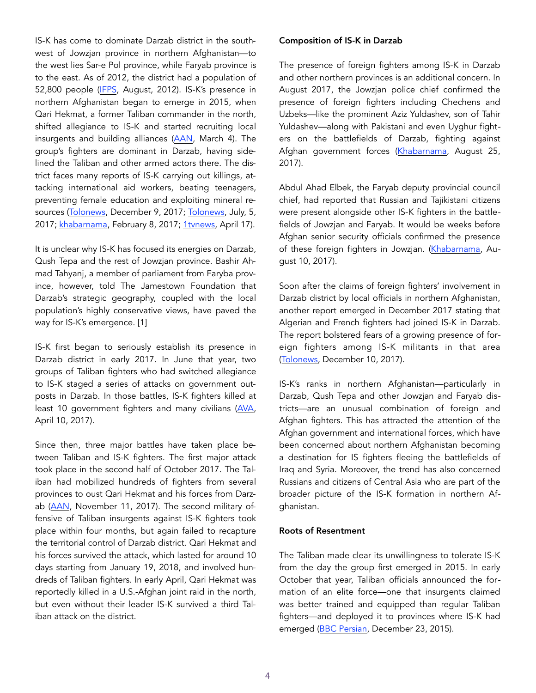IS-K has come to dominate Darzab district in the southwest of Jowzjan province in northern Afghanistan—to the west lies Sar-e Pol province, while Faryab province is to the east. As of 2012, the district had a population of 52,800 people ([IFPS](https://ipfs.io/ipfs/QmXoypizjW3WknFiJnKLwHCnL72vedxjQkDDP1mXWo6uco/wiki/Darzab_District.html), August, 2012). IS-K's presence in northern Afghanistan began to emerge in 2015, when Qari Hekmat, a former Taliban commander in the north, shifted allegiance to IS-K and started recruiting local insurgents and building alliances ([AAN](https://www.afghanistan-analysts.org/precarious-consolidation-qari-hekmats-is-affiliated-island-survives-another-taleban-onslaught/), March 4). The group's fighters are dominant in Darzab, having sidelined the Taliban and other armed actors there. The district faces many reports of IS-K carrying out killings, attacking international aid workers, beating teenagers, preventing female education and exploiting mineral resources ([Tolonews](https://www.tolonews.com/business/daesh-%E2%80%98could-exploit%E2%80%99-mineral-resources-jawzjan), December 9, 2017; [Tolonews](https://www.tolonews.com/afghanistan/daesh-threatens-replace-curriculum-jawzjan%E2%80%99s-district), July, 5, 2017; [khabarnama,](http://khabarnama.net/blog/2017/02/08/6-icrc-staff-were-killed-and-2-are-missing-in-jawzjan-afghanistan/) February 8, 2017; [1tvnews,](http://www.1tvnews.af/en/news/afghanistan/34155-daesh-beheads-13-year-old-boy-in-north-afghanistan) April 17).

It is unclear why IS-K has focused its energies on Darzab, Qush Tepa and the rest of Jowzjan province. Bashir Ahmad Tahyanj, a member of parliament from Faryba province, however, told The Jamestown Foundation that Darzab's strategic geography, coupled with the local population's highly conservative views, have paved the way for IS-K's emergence. [1]

IS-K first began to seriously establish its presence in Darzab district in early 2017. In June that year, two groups of Taliban fighters who had switched allegiance to IS-K staged a series of attacks on government outposts in Darzab. In those battles, IS-K fighters killed at least 10 government fighters and many civilians [\(AVA,](https://www.avapress.com/fa/report/140684/%D9%88%D9%84%D8%B3%D9%88%D8%A7%D9%84%DB%8C-%D8%AF%D8%B1%D8%B2%D8%A7%D8%A8-%D9%88%D9%84%D8%A7%DB%8C%D8%AA-%D8%AC%D9%88%D8%B2%D8%AC%D8%A7%D9%86-%D8%AD%D8%A7%D9%84-%D8%B3%D9%82%D9%88%D8%B7-%D8%AF%D8%B3%D8%AA-%DA%AF%D8%B1%D9%88%D9%87-%D8%AA%D8%B1%D9%88%D8%B1%DB%8C%D8%B3%D8%AA%DB%8C-%D8%AF%D8%A7%D8%B9%D8%B4) April 10, 2017).

Since then, three major battles have taken place between Taliban and IS-K fighters. The first major attack took place in the second half of October 2017. The Taliban had mobilized hundreds of fighters from several provinces to oust Qari Hekmat and his forces from Darz-ab ([AAN](https://www.afghanistan-analysts.org/qari-hekmats-island-a-daesh-enclave-in-jawzjan/), November 11, 2017). The second military offensive of Taliban insurgents against IS-K fighters took place within four months, but again failed to recapture the territorial control of Darzab district. Qari Hekmat and his forces survived the attack, which lasted for around 10 days starting from January 19, 2018, and involved hundreds of Taliban fighters. In early April, Qari Hekmat was reportedly killed in a U.S.-Afghan joint raid in the north, but even without their leader IS-K survived a third Taliban attack on the district.

#### Composition of IS-K in Darzab

The presence of foreign fighters among IS-K in Darzab and other northern provinces is an additional concern. In August 2017, the Jowzjan police chief confirmed the presence of foreign fighters including Chechens and Uzbeks—like the prominent Aziz Yuldashev, son of Tahir Yuldashev—along with Pakistani and even Uyghur fighters on the battlefields of Darzab, fighting against Afghan government forces [\(Khabarnama,](http://khabarnama.net/blog/2017/08/25/war-in-jawzjan/) August 25, 2017).

Abdul Ahad Elbek, the Faryab deputy provincial council chief, had reported that Russian and Tajikistani citizens were present alongside other IS-K fighters in the battlefields of Jowzjan and Faryab. It would be weeks before Afghan senior security officials confirmed the presence of these foreign fighters in Jowzjan. ([Khabarnama,](http://khabarnama.net/blog/2017/10/08/war-on-going-in-faryab/) August 10, 2017).

Soon after the claims of foreign fighters' involvement in Darzab district by local officials in northern Afghanistan, another report emerged in December 2017 stating that Algerian and French fighters had joined IS-K in Darzab. The report bolstered fears of a growing presence of foreign fighters among IS-K militants in that area ([Tolonews](https://www.tolonews.com/afghanistan/french-algerian-fighters-join-deash-afghanistan-report), December 10, 2017).

IS-K's ranks in northern Afghanistan—particularly in Darzab, Qush Tepa and other Jowzjan and Faryab districts—are an unusual combination of foreign and Afghan fighters. This has attracted the attention of the Afghan government and international forces, which have been concerned about northern Afghanistan becoming a destination for IS fighters fleeing the battlefields of Iraq and Syria. Moreover, the trend has also concerned Russians and citizens of Central Asia who are part of the broader picture of the IS-K formation in northern Afghanistan.

#### Roots of Resentment

The Taliban made clear its unwillingness to tolerate IS-K from the day the group first emerged in 2015. In early October that year, Taliban officials announced the formation of an elite force—one that insurgents claimed was better trained and equipped than regular Taliban fighters—and deployed it to provinces where IS-K had emerged ([BBC Persian,](http://www.bbc.com/persian/afghanistan/2015/12/151222_zs_afghan_taliban_isis) December 23, 2015).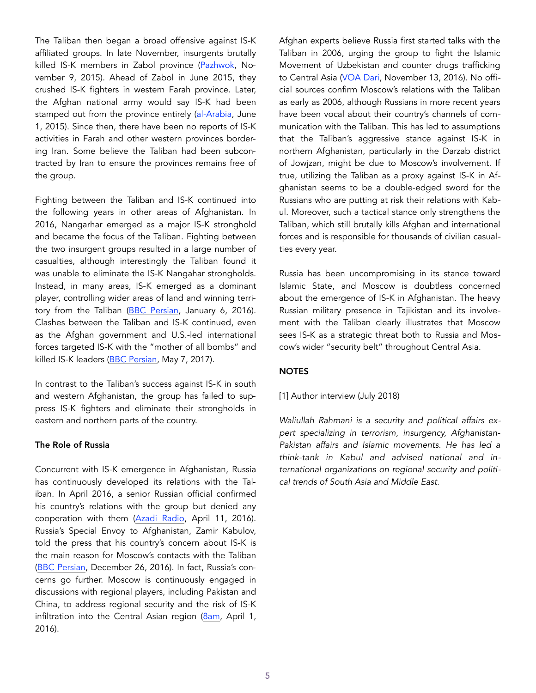The Taliban then began a broad offensive against IS-K affiliated groups. In late November, insurgents brutally killed IS-K members in Zabol province ([Pazhwok,](https://www.pajhwok.com/dr/2015/11/09/%D8%B7%D8%A7%D9%84%D8%A8%D8%A7%D9%86-%D8%AF%D8%B1-%D8%B2%D8%A7%D8%A8%D9%84-%D8%A8%D8%B1%D8%AE%D9%89-%D8%A7%D9%81%D8%B1%D8%A7%D8%AF-%D9%85%D8%B3%D9%84%D8%AD-%D8%AF%D8%A7%D8%B9%D8%B4-%D8%B1%D8%A7-%D8%AD%D9%84%D9%82-%D8%A2%D9%88%D9%8A%D8%B2-%DA%A9%D8%B1%D8%AF%D9%87-%D8%A7%D9%86%D8%AF) November 9, 2015). Ahead of Zabol in June 2015, they crushed IS-K fighters in western Farah province. Later, the Afghan national army would say IS-K had been stamped out from the province entirely ([al-Arabia,](http://farsi.alarabiya.net/fa/afghanistan/2015/06/01/%D8%A7%D8%B1%D8%AA%D8%B4-%D8%A7%D9%81%D8%BA%D8%A7%D9%86%D8%B3%D8%AA%D8%A7%D9%86-%D8%B7%D8%A7%D9%84%D8%A8%D8%A7%D9%86-%D8%AF%D8%A7%D8%B9%D8%B4-%D8%B1%D8%A7-%D8%AF%D8%B1-%D8%BA%D8%B1%D8%A8-%D8%A7%D9%81%D8%BA%D8%A7%D9%86%D8%B3%D8%AA%D8%A7%D9%86-%D9%86%D8%A7%D8%A8%D9%88%D8%AF-%DA%A9%D8%B1%D8%AF.html) June 1, 2015). Since then, there have been no reports of IS-K activities in Farah and other western provinces bordering Iran. Some believe the Taliban had been subcontracted by Iran to ensure the provinces remains free of the group.

Fighting between the Taliban and IS-K continued into the following years in other areas of Afghanistan. In 2016, Nangarhar emerged as a major IS-K stronghold and became the focus of the Taliban. Fighting between the two insurgent groups resulted in a large number of casualties, although interestingly the Taliban found it was unable to eliminate the IS-K Nangahar strongholds. Instead, in many areas, IS-K emerged as a dominant player, controlling wider areas of land and winning territory from the Taliban [\(BBC Persian,](http://www.bbc.com/persian/afghanistan/2016/01/160106_fm_taliban_isis_clash_nangarhar) January 6, 2016). Clashes between the Taliban and IS-K continued, even as the Afghan government and U.S.-led international forces targeted IS-K with the "mother of all bombs" and killed IS-K leaders ([BBC Persian](http://www.bbc.com/persian/afghanistan-39838111), May 7, 2017).

In contrast to the Taliban's success against IS-K in south and western Afghanistan, the group has failed to suppress IS-K fighters and eliminate their strongholds in eastern and northern parts of the country.

#### The Role of Russia

Concurrent with IS-K emergence in Afghanistan, Russia has continuously developed its relations with the Taliban. In April 2016, a senior Russian official confirmed his country's relations with the group but denied any cooperation with them ([Azadi Radio,](https://da.azadiradio.com/a/27691302.html) April 11, 2016). Russia's Special Envoy to Afghanistan, Zamir Kabulov, told the press that his country's concern about IS-K is the main reason for Moscow's contacts with the Taliban ([BBC Persian,](http://www.bbc.com/persian/afghanistan-38438820) December 26, 2016). In fact, Russia's concerns go further. Moscow is continuously engaged in discussions with regional players, including Pakistan and China, to address regional security and the risk of IS-K infiltration into the Central Asian region [\(8am](http://www.bbc.com/persian/afghanistan-38438820), April 1, 2016).

Afghan experts believe Russia first started talks with the Taliban in 2006, urging the group to fight the Islamic Movement of Uzbekistan and counter drugs trafficking to Central Asia ([VOA Dari,](https://www.darivoa.com/a/taliban-russia/3594129.html) November 13, 2016). No official sources confirm Moscow's relations with the Taliban as early as 2006, although Russians in more recent years have been vocal about their country's channels of communication with the Taliban. This has led to assumptions that the Taliban's aggressive stance against IS-K in northern Afghanistan, particularly in the Darzab district of Jowjzan, might be due to Moscow's involvement. If true, utilizing the Taliban as a proxy against IS-K in Afghanistan seems to be a double-edged sword for the Russians who are putting at risk their relations with Kabul. Moreover, such a tactical stance only strengthens the Taliban, which still brutally kills Afghan and international forces and is responsible for thousands of civilian casualties every year.

Russia has been uncompromising in its stance toward Islamic State, and Moscow is doubtless concerned about the emergence of IS-K in Afghanistan. The heavy Russian military presence in Tajikistan and its involvement with the Taliban clearly illustrates that Moscow sees IS-K as a strategic threat both to Russia and Moscow's wider "security belt" throughout Central Asia.

## NOTES

[1] Author interview (July 2018)

*Waliullah Rahmani is a security and political affairs expert specializing in terrorism, insurgency, Afghanistan-Pakistan affairs and Islamic movements. He has led a think-tank in Kabul and advised national and international organizations on regional security and political trends of South Asia and Middle East.*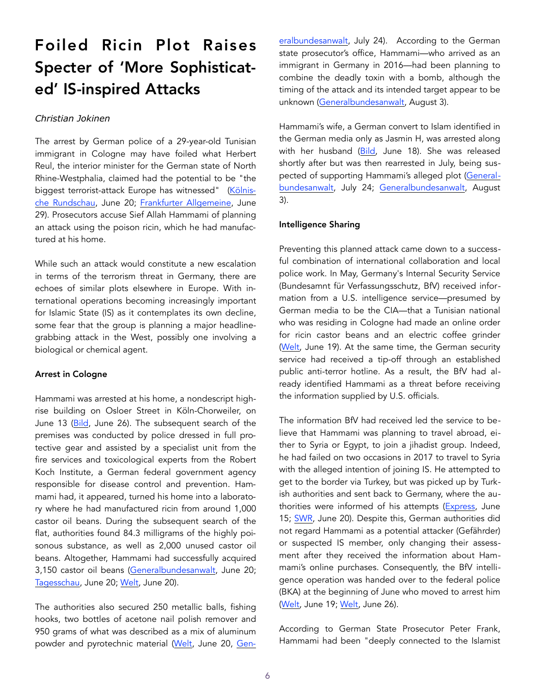## Foiled Ricin Plot Raises Specter of 'More Sophisticated' IS-inspired Attacks

### *Christian Jokinen*

The arrest by German police of a 29-year-old Tunisian immigrant in Cologne may have foiled what Herbert Reul, the interior minister for the German state of North Rhine-Westphalia, claimed had the potential to be "the biggest terrorist-attack Europe has witnessed" ([Kölnis](https://www.rundschau-online.de/region/koeln/rizin-fall-aus-koeln--waere-der-groesste-anschlag-in-europa-gewesen--30651210)[che Rundschau,](https://www.rundschau-online.de/region/koeln/rizin-fall-aus-koeln--waere-der-groesste-anschlag-in-europa-gewesen--30651210) June 20; [Frankfurter Allgemeine](http://www.faz.net/aktuell/politik/inland/koelner-rizin-bombenbauer-war-wohl-alleingaenger-15665651.html), June 29). Prosecutors accuse Sief Allah Hammami of planning an attack using the poison ricin, which he had manufactured at his home.

While such an attack would constitute a new escalation in terms of the terrorism threat in Germany, there are echoes of similar plots elsewhere in Europe. With international operations becoming increasingly important for Islamic State (IS) as it contemplates its own decline, some fear that the group is planning a major headlinegrabbing attack in the West, possibly one involving a biological or chemical agent.

#### Arrest in Cologne

Hammami was arrested at his home, a nondescript highrise building on Osloer Street in Köln-Chorweiler, on June 13 ([Bild](https://www.bild.de/regional/koeln/terrorismus/rizin-bomber-haette-hunderte-toeten-koennen-56131780.bild.html), June 26). The subsequent search of the premises was conducted by police dressed in full protective gear and assisted by a specialist unit from the fire services and toxicological experts from the Robert Koch Institute, a German federal government agency responsible for disease control and prevention. Hammami had, it appeared, turned his home into a laboratory where he had manufactured ricin from around 1,000 castor oil beans. During the subsequent search of the flat, authorities found 84.3 milligrams of the highly poisonous substance, as well as 2,000 unused castor oil beans. Altogether, Hammami had successfully acquired 3,150 castor oil beans ([Generalbundesanwalt](https://www.generalbundesanwalt.de/de/showpress.php?themenid=20&newsid=776), June 20; [Tagesschau](https://www.tagesschau.de/inland/bka-biobombe-103.html), June 20; [Welt](https://www.welt.de/politik/deutschland/article177903584/Tunesier-in-Koeln-bestellte-ueber-3000-Rizinussamen.html), June 20).

The authorities also secured 250 metallic balls, fishing hooks, two bottles of acetone nail polish remover and 950 grams of what was described as a mix of aluminum powder and pyrotechnic material ([Welt](https://www.welt.de/politik/deutschland/article177903584/Tunesier-in-Koeln-bestellte-ueber-3000-Rizinussamen.html), June 20, [Gen](https://www.generalbundesanwalt.de/de/showpress.php?themenid=20&newsid=783)- [eralbundesanwalt,](https://www.generalbundesanwalt.de/de/showpress.php?themenid=20&newsid=783) July 24). According to the German state prosecutor's office, Hammami—who arrived as an immigrant in Germany in 2016—had been planning to combine the deadly toxin with a bomb, although the timing of the attack and its intended target appear to be unknown ([Generalbundesanwalt](https://www.generalbundesanwalt.de/prnt/showpress.php?newsid=788), August 3).

Hammami's wife, a German convert to Islam identified in the German media only as Jasmin H, was arrested along with her husband ([Bild,](https://www.bild.de/regional/koeln/razzia/sief-allah-ist-vater-geworden-56045558.bild.html) June 18). She was released shortly after but was then rearrested in July, being suspected of supporting Hammami's alleged plot ([General](https://www.generalbundesanwalt.de/de/showpress.php?themenid=20&newsid=783)[bundesanwalt](https://www.generalbundesanwalt.de/de/showpress.php?themenid=20&newsid=783), July 24; [Generalbundesanwalt](https://www.generalbundesanwalt.de/prnt/showpress.php?newsid=788), August 3).

#### Intelligence Sharing

Preventing this planned attack came down to a successful combination of international collaboration and local police work. In May, Germany's Internal Security Service (Bundesamnt für Verfassungsschutz, BfV) received information from a U.S. intelligence service—presumed by German media to be the CIA—that a Tunisian national who was residing in Cologne had made an online order for ricin castor beans and an electric coffee grinder ([Welt](https://www.welt.de/politik/deutschland/article177809696/Terrorabwehr-in-Koeln-Rizin-Fund-zeigt-wie-abhaengig-Deutschland-von-Amerika-ist.html), June 19). At the same time, the German security service had received a tip-off through an established public anti-terror hotline. As a result, the BfV had already identified Hammami as a threat before receiving the information supplied by U.S. officials.

The information BfV had received led the service to believe that Hammami was planning to travel abroad, either to Syria or Egypt, to join a jihadist group. Indeed, he had failed on two occasions in 2017 to travel to Syria with the alleged intention of joining IS. He attempted to get to the border via Turkey, but was picked up by Turkish authorities and sent back to Germany, where the authorities were informed of his attempts ([Express,](https://www.express.de/koeln/gift-fund-in-koeln-terrorverdaechtiger--29--wollte-sich-zum-is-nach-syrien-absetzen-30624116) June 15; [SWR](https://www.swr.de/swraktuell/Nach-Fund-von-Bio-Gift-Rizin,generalbundesanwalt-ueber-biogift-verdaechtigen-100.html), June 20). Despite this, German authorities did not regard Hammami as a potential attacker (Gefährder) or suspected IS member, only changing their assessment after they received the information about Hammami's online purchases. Consequently, the BfV intelligence operation was handed over to the federal police (BKA) at the beginning of June who moved to arrest him ([Welt](https://www.welt.de/politik/deutschland/article177809696/Terrorabwehr-in-Koeln-Rizin-Fund-zeigt-wie-abhaengig-Deutschland-von-Amerika-ist.html), June 19; [Welt,](https://www.welt.de/politik/deutschland/article178276978/Verfassungsschutzpraesident-Maassen-warnt-vor-Asylsuchenden-in-Parallelgesellschaft.html) June 26).

According to German State Prosecutor Peter Frank, Hammami had been "deeply connected to the Islamist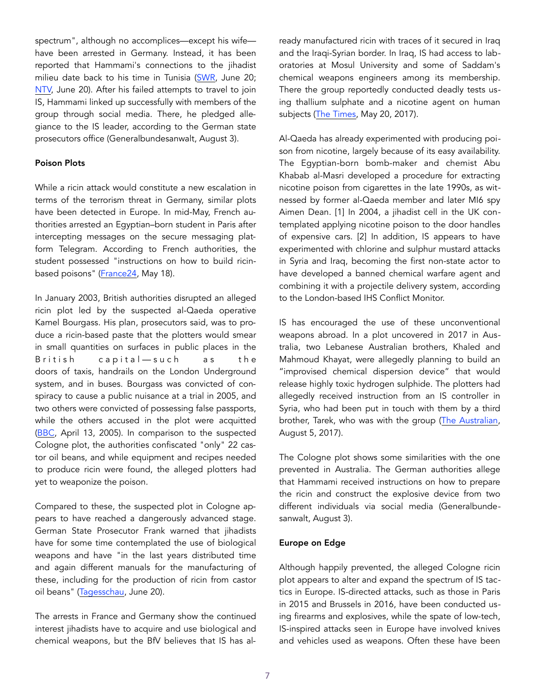spectrum", although no accomplices—except his wife have been arrested in Germany. Instead, it has been reported that Hammami's connections to the jihadist milieu date back to his time in Tunisia ([SWR,](https://www.swr.de/swraktuell/Nach-Fund-von-Bio-Gift-Rizin,generalbundesanwalt-ueber-biogift-verdaechtigen-100.html) June 20; [NTV,](https://www.n-tv.de/politik/Sief-Allah-H-hortete-3000-Rizinussamen-article20490165.html) June 20). After his failed attempts to travel to join IS, Hammami linked up successfully with members of the group through social media. There, he pledged allegiance to the IS leader, according to the German state prosecutors office (Generalbundesanwalt, August 3).

#### Poison Plots

While a ricin attack would constitute a new escalation in terms of the terrorism threat in Germany, similar plots have been detected in Europe. In mid-May, French authorities arrested an Egyptian–born student in Paris after intercepting messages on the secure messaging platform Telegram. According to French authorities, the student possessed "instructions on how to build ricin-based poisons" [\(France24](http://www.france24.com/en/20180518-french-government-france-foiled-suspected-terror-attack), May 18).

In January 2003, British authorities disrupted an alleged ricin plot led by the suspected al-Qaeda operative Kamel Bourgass. His plan, prosecutors said, was to produce a ricin-based paste that the plotters would smear in small quantities on surfaces in public places in the British capital—such as the doors of taxis, handrails on the London Underground system, and in buses. Bourgass was convicted of conspiracy to cause a public nuisance at a trial in 2005, and two others were convicted of possessing false passports, while the others accused in the plot were acquitted ([BBC](http://news.bbc.co.uk/2/hi/uk_news/4433459.stm), April 13, 2005). In comparison to the suspected Cologne plot, the authorities confiscated "only" 22 castor oil beans, and while equipment and recipes needed to produce ricin were found, the alleged plotters had yet to weaponize the poison.

Compared to these, the suspected plot in Cologne appears to have reached a dangerously advanced stage. German State Prosecutor Frank warned that jihadists have for some time contemplated the use of biological weapons and have "in the last years distributed time and again different manuals for the manufacturing of these, including for the production of ricin from castor oil beans" ([Tagesschau,](https://www.tagesschau.de/inland/bka-biobombe-103.html) June 20).

The arrests in France and Germany show the continued interest jihadists have to acquire and use biological and chemical weapons, but the BfV believes that IS has already manufactured ricin with traces of it secured in Iraq and the Iraqi-Syrian border. In Iraq, IS had access to laboratories at Mosul University and some of Saddam's chemical weapons engineers among its membership. There the group reportedly conducted deadly tests using thallium sulphate and a nicotine agent on human subjects ([The Times,](https://www.thetimes.co.uk/article/isis-tests-deadly-terror-chemicals-on-live-victims-cshx59080) May 20, 2017).

Al-Qaeda has already experimented with producing poison from nicotine, largely because of its easy availability. The Egyptian-born bomb-maker and chemist Abu Khabab al-Masri developed a procedure for extracting nicotine poison from cigarettes in the late 1990s, as witnessed by former al-Qaeda member and later MI6 spy Aimen Dean. [1] In 2004, a jihadist cell in the UK contemplated applying nicotine poison to the door handles of expensive cars. [2] In addition, IS appears to have experimented with chlorine and sulphur mustard attacks in Syria and Iraq, becoming the first non-state actor to have developed a banned chemical warfare agent and combining it with a projectile delivery system, according to the London-based IHS Conflict Monitor.

IS has encouraged the use of these unconventional weapons abroad. In a plot uncovered in 2017 in Australia, two Lebanese Australian brothers, Khaled and Mahmoud Khayat, were allegedly planning to build an "improvised chemical dispersion device" that would release highly toxic hydrogen sulphide. The plotters had allegedly received instruction from an IS controller in Syria, who had been put in touch with them by a third brother, Tarek, who was with the group [\(The Australian,](https://www.theaustralian.com.au/national-affairs/national-security/from-syria-to-sydney-how-the-airport-terror-plot-unfolded/news-story/463e4d7d74c27764c07c93df85bdd86c) August 5, 2017).

The Cologne plot shows some similarities with the one prevented in Australia. The German authorities allege that Hammami received instructions on how to prepare the ricin and construct the explosive device from two different individuals via social media (Generalbundesanwalt, August 3).

## Europe on Edge

Although happily prevented, the alleged Cologne ricin plot appears to alter and expand the spectrum of IS tactics in Europe. IS-directed attacks, such as those in Paris in 2015 and Brussels in 2016, have been conducted using firearms and explosives, while the spate of low-tech, IS-inspired attacks seen in Europe have involved knives and vehicles used as weapons. Often these have been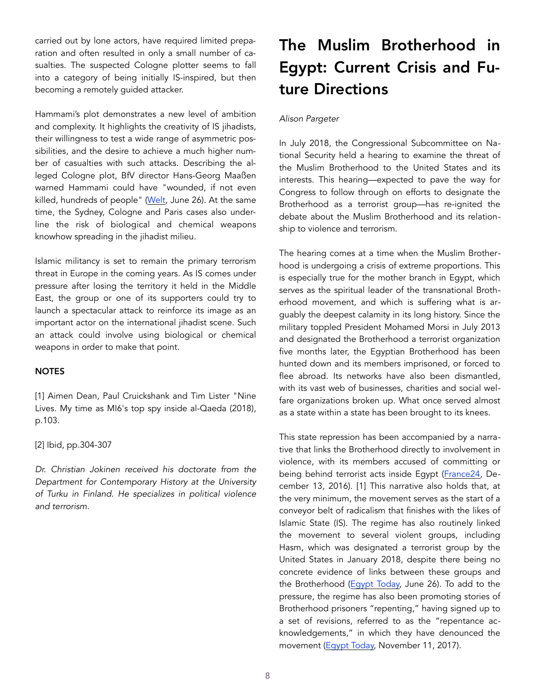carried out by lone actors, have required limited preparation and often resulted in only a small number of casualties. The suspected Cologne plotter seems to fall into a category of being initially IS-inspired, but then becoming a remotely guided attacker.

Hammami's plot demonstrates a new level of ambition and complexity. It highlights the creativity of IS jihadists, their willingness to test a wide range of asymmetric possibilities, and the desire to achieve a much higher number of casualties with such attacks. Describing the alleged Cologne plot, BfV director Hans-Georg Maaßen warned Hammami could have "wounded, if not even killed, hundreds of people" [\(Welt](https://www.welt.de/politik/deutschland/article178276978/Verfassungsschutzpraesident-Maassen-warnt-vor-Asylsuchenden-in-Parallelgesellschaft.html), June 26). At the same time, the Sydney, Cologne and Paris cases also underline the risk of biological and chemical weapons knowhow spreading in the jihadist milieu.

Islamic militancy is set to remain the primary terrorism threat in Europe in the coming years. As IS comes under pressure after losing the territory it held in the Middle East, the group or one of its supporters could try to launch a spectacular attack to reinforce its image as an important actor on the international jihadist scene. Such an attack could involve using biological or chemical weapons in order to make that point.

#### **NOTES**

[1] Aimen Dean, Paul Cruickshank and Tim Lister "Nine Lives. My time as MI6's top spy inside al-Qaeda (2018), p.103.

[2] Ibid, pp.304-307

*Dr. Christian Jokinen received his doctorate from the Department for Contemporary History at the University of Turku in Finland. He specializes in political violence and terrorism.* 

## The Muslim Brotherhood in Egypt: Current Crisis and Future Directions

## *Alison Pargeter*

In July 2018, the Congressional Subcommittee on National Security held a hearing to examine the threat of the Muslim Brotherhood to the United States and its interests. This hearing—expected to pave the way for Congress to follow through on efforts to designate the Brotherhood as a terrorist group—has re-ignited the debate about the Muslim Brotherhood and its relationship to violence and terrorism.

The hearing comes at a time when the Muslim Brotherhood is undergoing a crisis of extreme proportions. This is especially true for the mother branch in Egypt, which serves as the spiritual leader of the transnational Brotherhood movement, and which is suffering what is arguably the deepest calamity in its long history. Since the military toppled President Mohamed Morsi in July 2013 and designated the Brotherhood a terrorist organization five months later, the Egyptian Brotherhood has been hunted down and its members imprisoned, or forced to flee abroad. Its networks have also been dismantled, with its vast web of businesses, charities and social welfare organizations broken up. What once served almost as a state within a state has been brought to its knees.

This state repression has been accompanied by a narrative that links the Brotherhood directly to involvement in violence, with its members accused of committing or being behind terrorist acts inside Egypt ([France24,](http://www.france24.com/en/20161213-egypt-accuses-muslim-brotherhood-over-coptic-church-attack-suspect-mustafa) December 13, 2016). [1] This narrative also holds that, at the very minimum, the movement serves as the start of a conveyor belt of radicalism that finishes with the likes of Islamic State (IS). The regime has also routinely linked the movement to several violent groups, including Hasm, which was designated a terrorist group by the United States in January 2018, despite there being no concrete evidence of links between these groups and the Brotherhood ([Egypt Today,](https://www.egypttoday.com/Article/1/52851/Prominent-MB-affiliated-media-figures-placed-on-terror-list) June 26). To add to the pressure, the regime has also been promoting stories of Brotherhood prisoners "repenting," having signed up to a set of revisions, referred to as the "repentance acknowledgements," in which they have denounced the movement [\(Egypt Today,](https://www.egypttoday.com/Article/2/32025/MB-leaders-fear-%E2%80%98intellectual-revisions%E2%80%99-Brotherhood-member) November 11, 2017).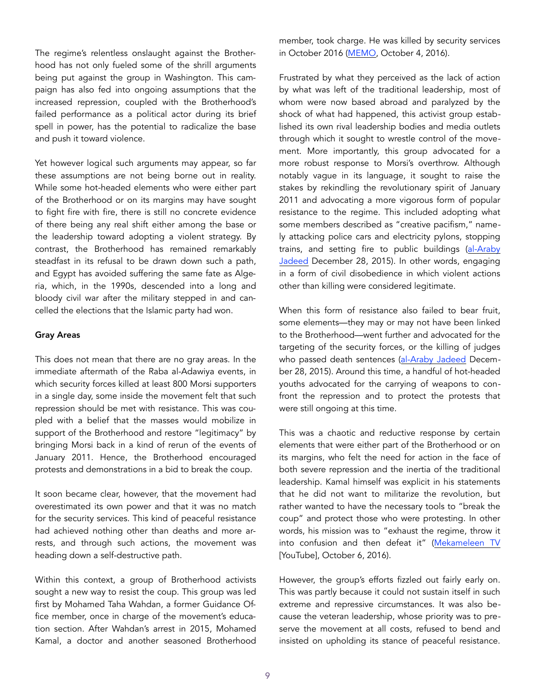The regime's relentless onslaught against the Brotherhood has not only fueled some of the shrill arguments being put against the group in Washington. This campaign has also fed into ongoing assumptions that the increased repression, coupled with the Brotherhood's failed performance as a political actor during its brief spell in power, has the potential to radicalize the base and push it toward violence.

Yet however logical such arguments may appear, so far these assumptions are not being borne out in reality. While some hot-headed elements who were either part of the Brotherhood or on its margins may have sought to fight fire with fire, there is still no concrete evidence of there being any real shift either among the base or the leadership toward adopting a violent strategy. By contrast, the Brotherhood has remained remarkably steadfast in its refusal to be drawn down such a path, and Egypt has avoided suffering the same fate as Algeria, which, in the 1990s, descended into a long and bloody civil war after the military stepped in and cancelled the elections that the Islamic party had won.

#### Gray Areas

This does not mean that there are no gray areas. In the immediate aftermath of the Raba al-Adawiya events, in which security forces killed at least 800 Morsi supporters in a single day, some inside the movement felt that such repression should be met with resistance. This was coupled with a belief that the masses would mobilize in support of the Brotherhood and restore "legitimacy" by bringing Morsi back in a kind of rerun of the events of January 2011. Hence, the Brotherhood encouraged protests and demonstrations in a bid to break the coup.

It soon became clear, however, that the movement had overestimated its own power and that it was no match for the security services. This kind of peaceful resistance had achieved nothing other than deaths and more arrests, and through such actions, the movement was heading down a self-destructive path.

Within this context, a group of Brotherhood activists sought a new way to resist the coup. This group was led first by Mohamed Taha Wahdan, a former Guidance Office member, once in charge of the movement's education section. After Wahdan's arrest in 2015, Mohamed Kamal, a doctor and another seasoned Brotherhood

member, took charge. He was killed by security services in October 2016 ([MEMO,](https://www.middleeastmonitor.com/20161004-breaking-muslim-brotherhood-leader-mohamed-kamal-killed-egypts-interior-ministry-claims/) October 4, 2016).

Frustrated by what they perceived as the lack of action by what was left of the traditional leadership, most of whom were now based abroad and paralyzed by the shock of what had happened, this activist group established its own rival leadership bodies and media outlets through which it sought to wrestle control of the movement. More importantly, this group advocated for a more robust response to Morsi's overthrow. Although notably vague in its language, it sought to raise the stakes by rekindling the revolutionary spirit of January 2011 and advocating a more vigorous form of popular resistance to the regime. This included adopting what some members described as "creative pacifism," namely attacking police cars and electricity pylons, stopping trains, and setting fire to public buildings ([al-Araby](https://www.alaraby.co.uk/amp//investigations/2015/12/28/%D8%A7%D9%84%D8%B3%D9%8A%D9%81%D8%A7%D9%86-%D8%A7%D9%84%D9%85%D8%AA%D9%85%D8%A7%D8%AB%D9%84%D8%A7%D9%86-%D8%AE%D9%84%D8%A7%D9%81-%D8%A7%D9%84%D8%A5%D8%AE%D9%88%D8%A7%D9%86-%D9%88%D9%84%D9%8A%D8%B3-%D8%A7%D8%AE%D8%AA%D9%84%D8%A7%D9%81%D9%87%D9%85)  [Jadeed](https://www.alaraby.co.uk/amp//investigations/2015/12/28/%D8%A7%D9%84%D8%B3%D9%8A%D9%81%D8%A7%D9%86-%D8%A7%D9%84%D9%85%D8%AA%D9%85%D8%A7%D8%AB%D9%84%D8%A7%D9%86-%D8%AE%D9%84%D8%A7%D9%81-%D8%A7%D9%84%D8%A5%D8%AE%D9%88%D8%A7%D9%86-%D9%88%D9%84%D9%8A%D8%B3-%D8%A7%D8%AE%D8%AA%D9%84%D8%A7%D9%81%D9%87%D9%85) December 28, 2015). In other words, engaging in a form of civil disobedience in which violent actions other than killing were considered legitimate.

When this form of resistance also failed to bear fruit, some elements—they may or may not have been linked to the Brotherhood—went further and advocated for the targeting of the security forces, or the killing of judges who passed death sentences ([al-Araby Jadeed](https://www.alaraby.co.uk/amp//investigations/2015/12/28/%D8%A7%D9%84%D8%B3%D9%8A%D9%81%D8%A7%D9%86-%D8%A7%D9%84%D9%85%D8%AA%D9%85%D8%A7%D8%AB%D9%84%D8%A7%D9%86-%D8%AE%D9%84%D8%A7%D9%81-%D8%A7%D9%84%D8%A5%D8%AE%D9%88%D8%A7%D9%86-%D9%88%D9%84%D9%8A%D8%B3-%D8%A7%D8%AE%D8%AA%D9%84%D8%A7%D9%81%D9%87%D9%85) December 28, 2015). Around this time, a handful of hot-headed youths advocated for the carrying of weapons to confront the repression and to protect the protests that were still ongoing at this time.

This was a chaotic and reductive response by certain elements that were either part of the Brotherhood or on its margins, who felt the need for action in the face of both severe repression and the inertia of the traditional leadership. Kamal himself was explicit in his statements that he did not want to militarize the revolution, but rather wanted to have the necessary tools to "break the coup" and protect those who were protesting. In other words, his mission was to "exhaust the regime, throw it into confusion and then defeat it" ([Mekameleen TV](https://www.youtube.com/watch?v=ffxvHduo064) [YouTube], October 6, 2016).

However, the group's efforts fizzled out fairly early on. This was partly because it could not sustain itself in such extreme and repressive circumstances. It was also because the veteran leadership, whose priority was to preserve the movement at all costs, refused to bend and insisted on upholding its stance of peaceful resistance.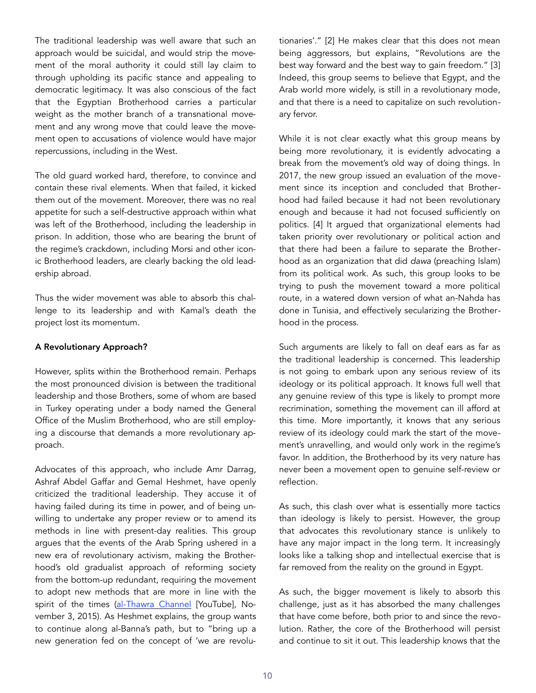The traditional leadership was well aware that such an approach would be suicidal, and would strip the movement of the moral authority it could still lay claim to through upholding its pacific stance and appealing to democratic legitimacy. It was also conscious of the fact that the Egyptian Brotherhood carries a particular weight as the mother branch of a transnational movement and any wrong move that could leave the movement open to accusations of violence would have major repercussions, including in the West.

The old guard worked hard, therefore, to convince and contain these rival elements. When that failed, it kicked them out of the movement. Moreover, there was no real appetite for such a self-destructive approach within what was left of the Brotherhood, including the leadership in prison. In addition, those who are bearing the brunt of the regime's crackdown, including Morsi and other iconic Brotherhood leaders, are clearly backing the old leadership abroad.

Thus the wider movement was able to absorb this challenge to its leadership and with Kamal's death the project lost its momentum.

## A Revolutionary Approach?

However, splits within the Brotherhood remain. Perhaps the most pronounced division is between the traditional leadership and those Brothers, some of whom are based in Turkey operating under a body named the General Office of the Muslim Brotherhood, who are still employing a discourse that demands a more revolutionary approach.

Advocates of this approach, who include Amr Darrag, Ashraf Abdel Gaffar and Gemal Heshmet, have openly criticized the traditional leadership. They accuse it of having failed during its time in power, and of being unwilling to undertake any proper review or to amend its methods in line with present-day realities. This group argues that the events of the Arab Spring ushered in a new era of revolutionary activism, making the Brotherhood's old gradualist approach of reforming society from the bottom-up redundant, requiring the movement to adopt new methods that are more in line with the spirit of the times [\(al-Thawra Channel](https://www.youtube.com/watch?v=B3UbXFVI9UY) [YouTube], November 3, 2015). As Heshmet explains, the group wants to continue along al-Banna's path, but to "bring up a new generation fed on the concept of 'we are revolutionaries'." [2] He makes clear that this does not mean being aggressors, but explains, "Revolutions are the best way forward and the best way to gain freedom." [3] Indeed, this group seems to believe that Egypt, and the Arab world more widely, is still in a revolutionary mode, and that there is a need to capitalize on such revolutionary fervor.

While it is not clear exactly what this group means by being more revolutionary, it is evidently advocating a break from the movement's old way of doing things. In 2017, the new group issued an evaluation of the movement since its inception and concluded that Brotherhood had failed because it had not been revolutionary enough and because it had not focused sufficiently on politics. [4] It argued that organizational elements had taken priority over revolutionary or political action and that there had been a failure to separate the Brotherhood as an organization that did *dawa* (preaching Islam) from its political work. As such, this group looks to be trying to push the movement toward a more political route, in a watered down version of what an-Nahda has done in Tunisia, and effectively secularizing the Brotherhood in the process.

Such arguments are likely to fall on deaf ears as far as the traditional leadership is concerned. This leadership is not going to embark upon any serious review of its ideology or its political approach. It knows full well that any genuine review of this type is likely to prompt more recrimination, something the movement can ill afford at this time. More importantly, it knows that any serious review of its ideology could mark the start of the movement's unravelling, and would only work in the regime's favor. In addition, the Brotherhood by its very nature has never been a movement open to genuine self-review or reflection.

As such, this clash over what is essentially more tactics than ideology is likely to persist. However, the group that advocates this revolutionary stance is unlikely to have any major impact in the long term. It increasingly looks like a talking shop and intellectual exercise that is far removed from the reality on the ground in Egypt.

As such, the bigger movement is likely to absorb this challenge, just as it has absorbed the many challenges that have come before, both prior to and since the revolution. Rather, the core of the Brotherhood will persist and continue to sit it out. This leadership knows that the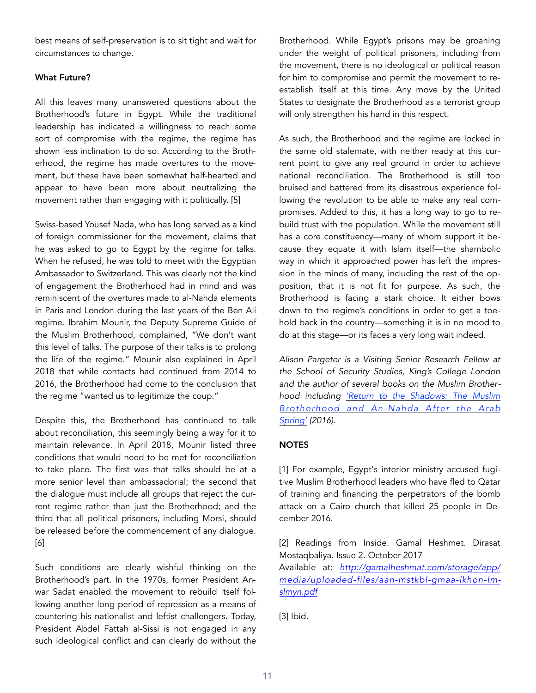best means of self-preservation is to sit tight and wait for circumstances to change.

### What Future?

All this leaves many unanswered questions about the Brotherhood's future in Egypt. While the traditional leadership has indicated a willingness to reach some sort of compromise with the regime, the regime has shown less inclination to do so. According to the Brotherhood, the regime has made overtures to the movement, but these have been somewhat half-hearted and appear to have been more about neutralizing the movement rather than engaging with it politically. [5]

Swiss-based Yousef Nada, who has long served as a kind of foreign commissioner for the movement, claims that he was asked to go to Egypt by the regime for talks. When he refused, he was told to meet with the Egyptian Ambassador to Switzerland. This was clearly not the kind of engagement the Brotherhood had in mind and was reminiscent of the overtures made to al-Nahda elements in Paris and London during the last years of the Ben Ali regime. Ibrahim Mounir, the Deputy Supreme Guide of the Muslim Brotherhood, complained, "We don't want this level of talks. The purpose of their talks is to prolong the life of the regime." Mounir also explained in April 2018 that while contacts had continued from 2014 to 2016, the Brotherhood had come to the conclusion that the regime "wanted us to legitimize the coup."

Despite this, the Brotherhood has continued to talk about reconciliation, this seemingly being a way for it to maintain relevance. In April 2018, Mounir listed three conditions that would need to be met for reconciliation to take place. The first was that talks should be at a more senior level than ambassadorial; the second that the dialogue must include all groups that reject the current regime rather than just the Brotherhood; and the third that all political prisoners, including Morsi, should be released before the commencement of any dialogue. [6]

Such conditions are clearly wishful thinking on the Brotherhood's part. In the 1970s, former President Anwar Sadat enabled the movement to rebuild itself following another long period of repression as a means of countering his nationalist and leftist challengers. Today, President Abdel Fattah al-Sissi is not engaged in any such ideological conflict and can clearly do without the Brotherhood. While Egypt's prisons may be groaning under the weight of political prisoners, including from the movement, there is no ideological or political reason for him to compromise and permit the movement to reestablish itself at this time. Any move by the United States to designate the Brotherhood as a terrorist group will only strengthen his hand in this respect.

As such, the Brotherhood and the regime are locked in the same old stalemate, with neither ready at this current point to give any real ground in order to achieve national reconciliation. The Brotherhood is still too bruised and battered from its disastrous experience following the revolution to be able to make any real compromises. Added to this, it has a long way to go to rebuild trust with the population. While the movement still has a core constituency—many of whom support it because they equate it with Islam itself—the shambolic way in which it approached power has left the impression in the minds of many, including the rest of the opposition, that it is not fit for purpose. As such, the Brotherhood is facing a stark choice. It either bows down to the regime's conditions in order to get a toehold back in the country—something it is in no mood to do at this stage—or its faces a very long wait indeed.

*Alison Pargeter is a Visiting Senior Research Fellow at the School of Security Studies, King's College London and the author of several books on the Muslim Brotherhood including ['Return to the Shadows: The Muslim](https://www.amazon.com/Return-Shadows-Muslim-Brotherhood-Nahda/dp/0863561446/)  [Brotherhood and An-Nahda After the Arab](https://www.amazon.com/Return-Shadows-Muslim-Brotherhood-Nahda/dp/0863561446/)  [Spring'](https://www.amazon.com/Return-Shadows-Muslim-Brotherhood-Nahda/dp/0863561446/) (2016).* 

## **NOTES**

[1] For example, Egypt's interior ministry accused fugitive Muslim Brotherhood leaders who have fled to Qatar of training and financing the perpetrators of the bomb attack on a Cairo church that killed 25 people in December 2016.

[2] Readings from Inside. Gamal Heshmet. Dirasat Mostaqbaliya. Issue 2. October 2017

Available at: *[http://gamalheshmat.com/storage/app/](http://gamalheshmat.com/storage/app/media/uploaded-files/aan-mstkbl-gmaa-lkhon-lmslmyn.pdf) [media/uploaded-files/aan-mstkbl-gmaa-lkhon-lm](http://gamalheshmat.com/storage/app/media/uploaded-files/aan-mstkbl-gmaa-lkhon-lmslmyn.pdf)[slmyn.pdf](http://gamalheshmat.com/storage/app/media/uploaded-files/aan-mstkbl-gmaa-lkhon-lmslmyn.pdf)*

[3] Ibid.